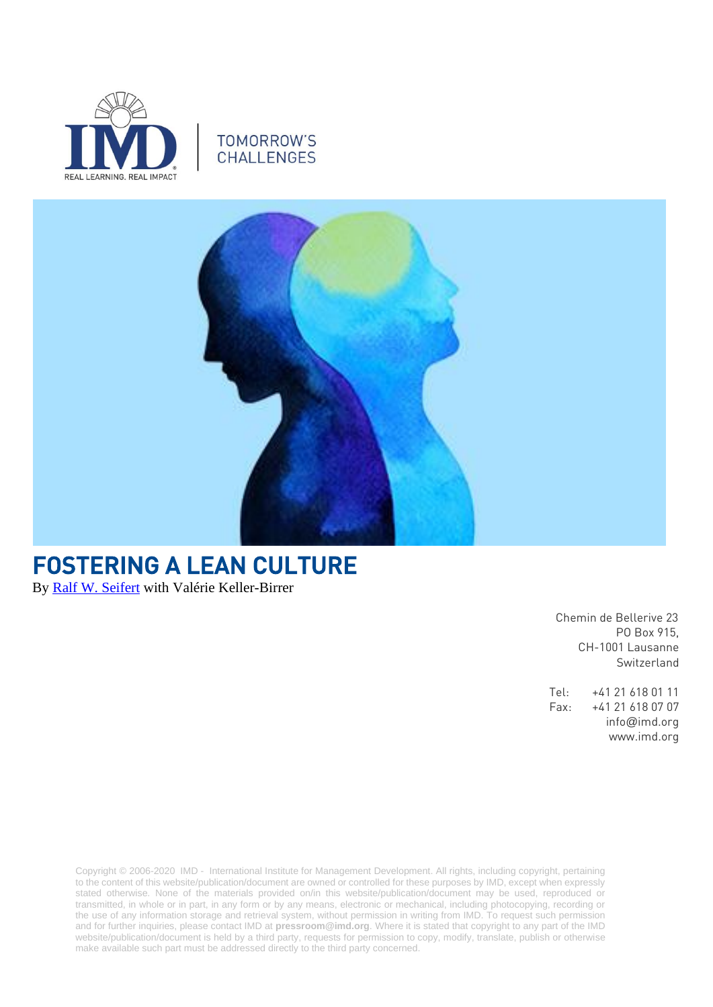

### **TOMORROW'S CHALLENGES**



# FOSTERING A LEAN CULTURE

By [Ralf W. Seifert](https://www.imd.org/faculty/professors/ralf-seifert/) with Valérie Keller-Birrer

 Chemin de Bellerive 23 PO Box 915, CH-1001 Lausanne Switzerland

Tel: +41 21 618 01 11 Fax: +41 21 618 07 07 info@imd.org www.imd.org

Copyright © 2006-2020 IMD - International Institute for Management Development. All rights, including copyright, pertaining to the content of this website/publication/document are owned or controlled for these purposes by IMD, except when expressly stated otherwise. None of the materials provided on/in this website/publication/document may be used, reproduced or transmitted, in whole or in part, in any form or by any means, electronic or mechanical, including photocopying, recording or the use of any information storage and retrieval system, without permission in writing from IMD. To request such permission and for further inquiries, please contact IMD at **[pressroom@imd.org](mailto:pressroom@imd.org)**. Where it is stated that copyright to any part of the IMD website/publication/document is held by a third party, requests for permission to copy, modify, translate, publish or otherwise make available such part must be addressed directly to the third party concerned.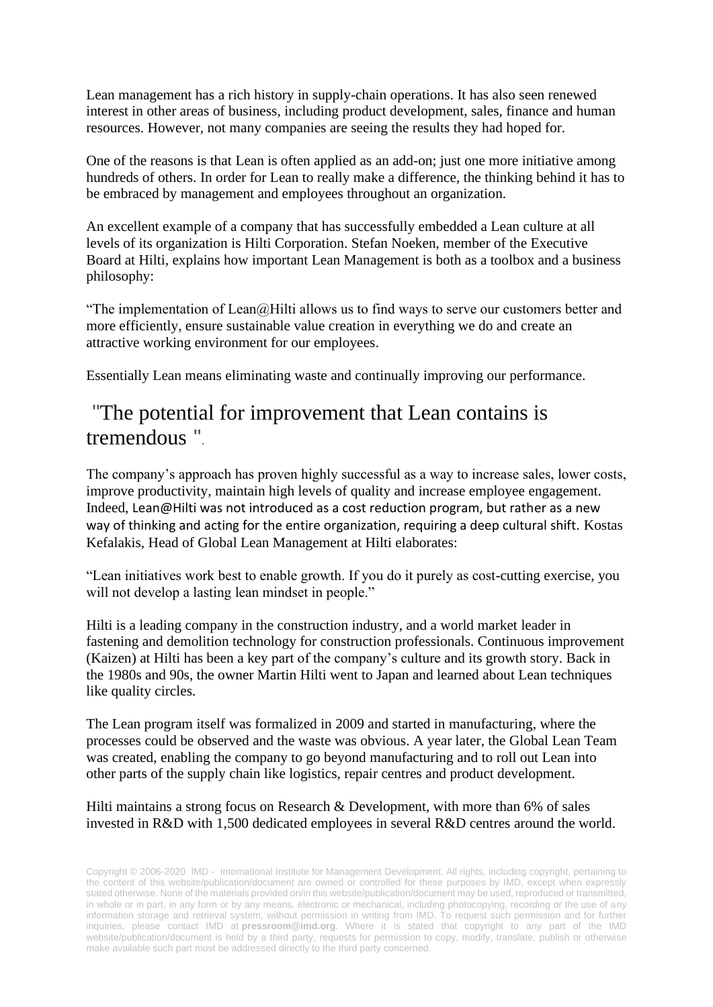Lean management has a rich history in supply-chain operations. It has also seen renewed interest in other areas of business, including product development, sales, finance and human resources. However, not many companies are seeing the results they had hoped for.

One of the reasons is that Lean is often applied as an add-on; just one more initiative among hundreds of others. In order for Lean to really make a difference, the thinking behind it has to be embraced by management and employees throughout an organization.

An excellent example of a company that has successfully embedded a Lean culture at all levels of its organization is Hilti Corporation. Stefan Noeken, member of the Executive Board at Hilti, explains how important Lean Management is both as a toolbox and a business philosophy:

"The implementation of Lean $@$ Hilti allows us to find ways to serve our customers better and more efficiently, ensure sustainable value creation in everything we do and create an attractive working environment for our employees.

Essentially Lean means eliminating waste and continually improving our performance.

### "The potential for improvement that Lean contains is tremendous ".

The company's approach has proven highly successful as a way to increase sales, lower costs, improve productivity, maintain high levels of quality and increase employee engagement. Indeed, Lean@Hilti was not introduced as a cost reduction program, but rather as a new way of thinking and acting for the entire organization, requiring a deep cultural shift. Kostas Kefalakis, Head of Global Lean Management at Hilti elaborates:

"Lean initiatives work best to enable growth. If you do it purely as cost-cutting exercise, you will not develop a lasting lean mindset in people."

Hilti is a leading company in the construction industry, and a world market leader in fastening and demolition technology for construction professionals. Continuous improvement (Kaizen) at Hilti has been a key part of the company's culture and its growth story. Back in the 1980s and 90s, the owner Martin Hilti went to Japan and learned about Lean techniques like quality circles.

The Lean program itself was formalized in 2009 and started in manufacturing, where the processes could be observed and the waste was obvious. A year later, the Global Lean Team was created, enabling the company to go beyond manufacturing and to roll out Lean into other parts of the supply chain like logistics, repair centres and product development.

#### Hilti maintains a strong focus on Research & Development, with more than 6% of sales invested in R&D with 1,500 dedicated employees in several R&D centres around the world.

Copyright © 2006-2020 IMD - International Institute for Management Development. All rights, including copyright, pertaining to the content of this website/publication/document are owned or controlled for these purposes by IMD, except when expressly stated otherwise. None of the materials provided on/in this website/publication/document may be used, reproduced or transmitted, in whole or in part, in any form or by any means, electronic or mechanical, including photocopying, recording or the use of any information storage and retrieval system, without permission in writing from IMD. To request such permission and for further inquiries, please contact IMD at **[pressroom@imd.org](mailto:pressroom@imd.org)**. Where it is stated that copyright to any part of the IMD website/publication/document is held by a third party, requests for permission to copy, modify, translate, publish or otherwise make available such part must be addressed directly to the third party concerned.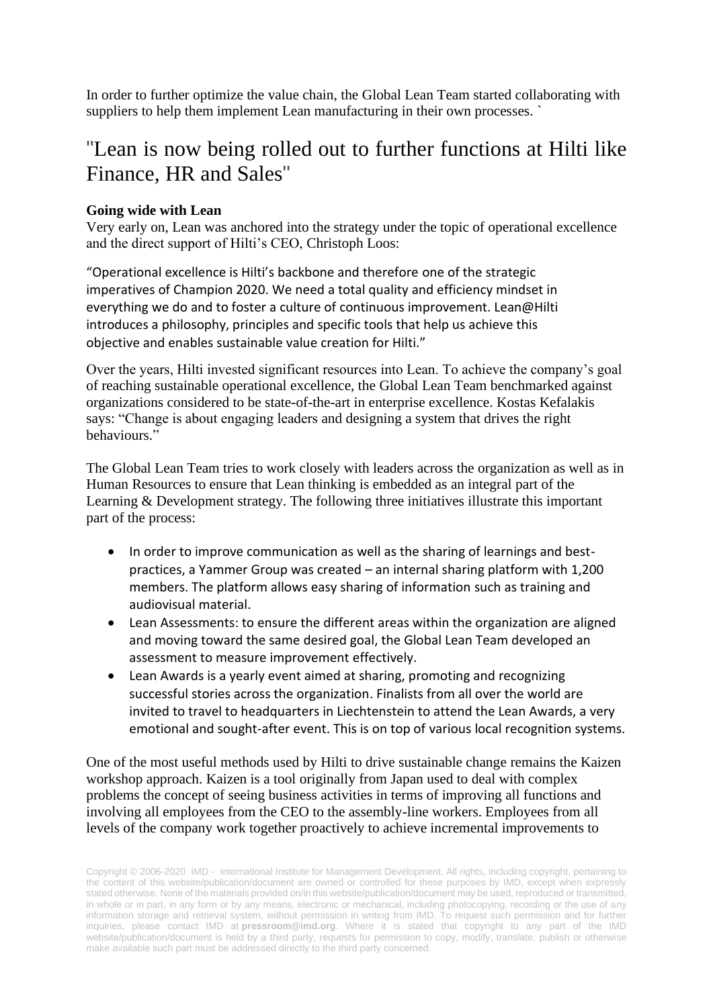In order to further optimize the value chain, the Global Lean Team started collaborating with suppliers to help them implement Lean manufacturing in their own processes. `

## "Lean is now being rolled out to further functions at Hilti like Finance, HR and Sales"

#### **Going wide with Lean**

Very early on, Lean was anchored into the strategy under the topic of operational excellence and the direct support of Hilti's CEO, Christoph Loos:

"Operational excellence is Hilti's backbone and therefore one of the strategic imperatives of Champion 2020. We need a total quality and efficiency mindset in everything we do and to foster a culture of continuous improvement. Lean@Hilti introduces a philosophy, principles and specific tools that help us achieve this objective and enables sustainable value creation for Hilti."

Over the years, Hilti invested significant resources into Lean. To achieve the company's goal of reaching sustainable operational excellence, the Global Lean Team benchmarked against organizations considered to be state-of-the-art in enterprise excellence. Kostas Kefalakis says: "Change is about engaging leaders and designing a system that drives the right behaviours."

The Global Lean Team tries to work closely with leaders across the organization as well as in Human Resources to ensure that Lean thinking is embedded as an integral part of the Learning & Development strategy. The following three initiatives illustrate this important part of the process:

- In order to improve communication as well as the sharing of learnings and bestpractices, a Yammer Group was created – an internal sharing platform with 1,200 members. The platform allows easy sharing of information such as training and audiovisual material.
- Lean Assessments: to ensure the different areas within the organization are aligned and moving toward the same desired goal, the Global Lean Team developed an assessment to measure improvement effectively.
- Lean Awards is a yearly event aimed at sharing, promoting and recognizing successful stories across the organization. Finalists from all over the world are invited to travel to headquarters in Liechtenstein to attend the Lean Awards, a very emotional and sought-after event. This is on top of various local recognition systems.

One of the most useful methods used by Hilti to drive sustainable change remains the Kaizen workshop approach. Kaizen is a tool originally from Japan used to deal with complex problems the concept of seeing business activities in terms of improving all functions and involving all employees from the CEO to the assembly-line workers. Employees from all levels of the company work together proactively to achieve incremental improvements to

Copyright © 2006-2020 IMD - International Institute for Management Development. All rights, including copyright, pertaining to the content of this website/publication/document are owned or controlled for these purposes by IMD, except when expressly stated otherwise. None of the materials provided on/in this website/publication/document may be used, reproduced or transmitted, in whole or in part, in any form or by any means, electronic or mechanical, including photocopying, recording or the use of any information storage and retrieval system, without permission in writing from IMD. To request such permission and for further inquiries, please contact IMD at **[pressroom@imd.org](mailto:pressroom@imd.org)**. Where it is stated that copyright to any part of the IMD website/publication/document is held by a third party, requests for permission to copy, modify, translate, publish or otherwise make available such part must be addressed directly to the third party concerned.